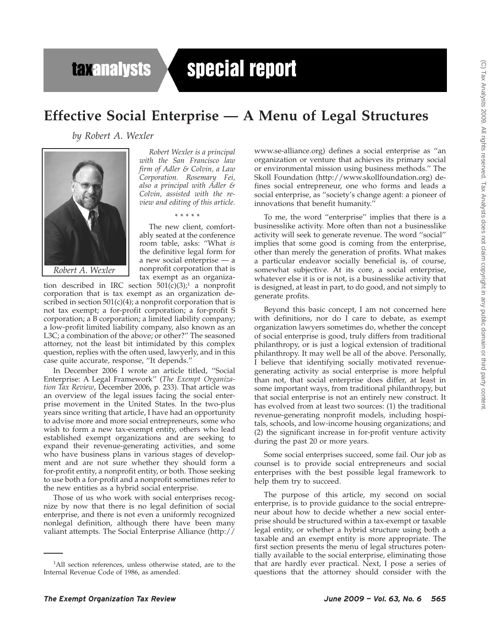## **taxanalysts**

# special report

### **Effective Social Enterprise — A Menu of Legal Structures**

*by Robert A. Wexler*



*Robert A. Wexler*

*Robert Wexler is a principal with the San Francisco law firm of Adler & Colvin, a Law Corporation. Rosemary Fei, also a principal with Adler & Colvin, assisted with the review and editing of this article.*

\*\*\*\*\*

The new client, comfortably seated at the conference room table, asks: ''What *is* the definitive legal form for a new social enterprise — a nonprofit corporation that is tax exempt as an organiza-

tion described in IRC section  $501(c)(3)$ ;<sup>1</sup> a nonprofit corporation that is tax exempt as an organization described in section 501(c)(4); a nonprofit corporation that is not tax exempt; a for-profit corporation; a for-profit S corporation; a B corporation; a limited liability company; a low-profit limited liability company, also known as an L3C; a combination of the above; or other?'' The seasoned attorney, not the least bit intimidated by this complex question, replies with the often used, lawyerly, and in this case quite accurate, response, ''It depends.''

In December 2006 I wrote an article titled, ''Social Enterprise: A Legal Framework'' (*The Exempt Organization Tax Review*, December 2006, p. 233). That article was an overview of the legal issues facing the social enterprise movement in the United States. In the two-plus years since writing that article, I have had an opportunity to advise more and more social entrepreneurs, some who wish to form a new tax-exempt entity, others who lead established exempt organizations and are seeking to expand their revenue-generating activities, and some who have business plans in various stages of development and are not sure whether they should form a for-profit entity, a nonprofit entity, or both. Those seeking to use both a for-profit and a nonprofit sometimes refer to the new entities as a hybrid social enterprise.

Those of us who work with social enterprises recognize by now that there is no legal definition of social enterprise, and there is not even a uniformly recognized nonlegal definition, although there have been many valiant attempts. The Social Enterprise Alliance (http://

www.se-alliance.org) defines a social enterprise as ''an organization or venture that achieves its primary social or environmental mission using business methods.'' The Skoll Foundation (http://www.skollfoundation.org) defines social entrepreneur, one who forms and leads a social enterprise, as ''society's change agent: a pioneer of innovations that benefit humanity.''

To me, the word ''enterprise'' implies that there is a businesslike activity. More often than not a businesslike activity will seek to generate revenue. The word ''social'' implies that some good is coming from the enterprise, other than merely the generation of profits. What makes a particular endeavor socially beneficial is, of course, somewhat subjective. At its core, a social enterprise, whatever else it is or is not, is a businesslike activity that is designed, at least in part, to do good, and not simply to generate profits.

Beyond this basic concept, I am not concerned here with definitions, nor do I care to debate, as exempt organization lawyers sometimes do, whether the concept of social enterprise is good, truly differs from traditional philanthropy, or is just a logical extension of traditional philanthropy. It may well be all of the above. Personally, I believe that identifying socially motivated revenuegenerating activity as social enterprise is more helpful than not, that social enterprise does differ, at least in some important ways, from traditional philanthropy, but that social enterprise is not an entirely new construct. It has evolved from at least two sources: (1) the traditional revenue-generating nonprofit models, including hospitals, schools, and low-income housing organizations; and (2) the significant increase in for-profit venture activity during the past 20 or more years.

Some social enterprises succeed, some fail. Our job as counsel is to provide social entrepreneurs and social enterprises with the best possible legal framework to help them try to succeed.

The purpose of this article, my second on social enterprise, is to provide guidance to the social entrepreneur about how to decide whether a new social enterprise should be structured within a tax-exempt or taxable legal entity, or whether a hybrid structure using both a taxable and an exempt entity is more appropriate. The first section presents the menu of legal structures potentially available to the social enterprise, eliminating those that are hardly ever practical. Next, I pose a series of questions that the attorney should consider with the

<sup>&</sup>lt;sup>1</sup>All section references, unless otherwise stated, are to the Internal Revenue Code of 1986, as amended.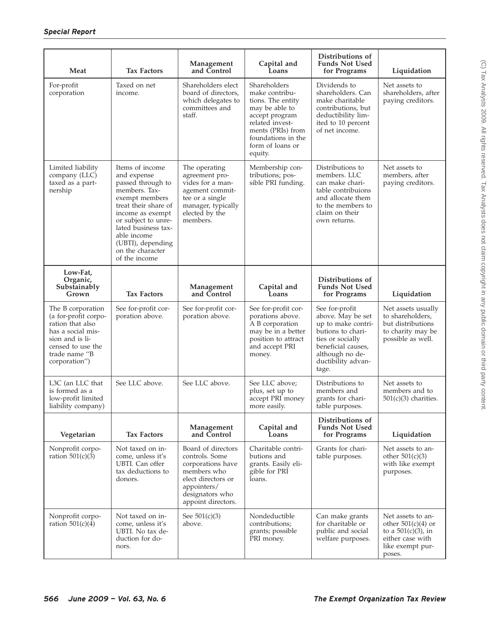| Meat                                                                                                                                                         | <b>Tax Factors</b>                                                                                                                                                                                                                                        | Management<br>and Control                                                                                                                              | Capital and<br>Loans                                                                                                                                                                 | Distributions of<br><b>Funds Not Used</b><br>for Programs                                                                                                                  | Liquidation                                                                                                          |
|--------------------------------------------------------------------------------------------------------------------------------------------------------------|-----------------------------------------------------------------------------------------------------------------------------------------------------------------------------------------------------------------------------------------------------------|--------------------------------------------------------------------------------------------------------------------------------------------------------|--------------------------------------------------------------------------------------------------------------------------------------------------------------------------------------|----------------------------------------------------------------------------------------------------------------------------------------------------------------------------|----------------------------------------------------------------------------------------------------------------------|
| For-profit<br>corporation                                                                                                                                    | Taxed on net<br>income.                                                                                                                                                                                                                                   | Shareholders elect<br>board of directors,<br>which delegates to<br>committees and<br>staff.                                                            | Shareholders<br>make contribu-<br>tions. The entity<br>may be able to<br>accept program<br>related invest-<br>ments (PRIs) from<br>foundations in the<br>form of loans or<br>equity. | Dividends to<br>shareholders. Can<br>make charitable<br>contributions, but<br>deductibility lim-<br>ited to 10 percent<br>of net income.                                   | Net assets to<br>shareholders, after<br>paying creditors.                                                            |
| Limited liability<br>company (LLC)<br>taxed as a part-<br>nership                                                                                            | Items of income<br>and expense<br>passed through to<br>members. Tax-<br>exempt members<br>treat their share of<br>income as exempt<br>or subject to unre-<br>lated business tax-<br>able income<br>(UBTI), depending<br>on the character<br>of the income | The operating<br>agreement pro-<br>vides for a man-<br>agement commit-<br>tee or a single<br>manager, typically<br>elected by the<br>members.          | Membership con-<br>tributions; pos-<br>sible PRI funding.                                                                                                                            | Distributions to<br>members. LLC<br>can make chari-<br>table contribuions<br>and allocate them<br>to the members to<br>claim on their<br>own returns.                      | Net assets to<br>members, after<br>paying creditors.                                                                 |
| Low-Fat,<br>Organic,<br>Substainably<br>Grown                                                                                                                | <b>Tax Factors</b>                                                                                                                                                                                                                                        | Management<br>and Control                                                                                                                              | Capital and<br>Loans                                                                                                                                                                 | Distributions of<br><b>Funds Not Used</b><br>for Programs                                                                                                                  | Liquidation                                                                                                          |
| The B corporation<br>(a for-profit corpo-<br>ration that also<br>has a social mis-<br>sion and is li-<br>censed to use the<br>trade name "B<br>corporation") | See for-profit cor-<br>poration above.                                                                                                                                                                                                                    | See for-profit cor-<br>poration above.                                                                                                                 | See for-profit cor-<br>porations above.<br>A B corporation<br>may be in a better<br>position to attract<br>and accept PRI<br>money.                                                  | See for-profit<br>above. May be set<br>up to make contri-<br>butions to chari-<br>ties or socially<br>beneficial causes,<br>although no de-<br>ductibility advan-<br>tage. | Net assets usually<br>to shareholders,<br>but distributions<br>to charity may be<br>possible as well.                |
| L3C (an LLC that<br>is formed as a<br>low-profit limited<br>liability company)                                                                               | See LLC above.                                                                                                                                                                                                                                            | See LLC above.                                                                                                                                         | See LLC above;<br>plus, set up to<br>accept PRI money<br>more easily.                                                                                                                | Distributions to<br>members and<br>grants for chari-<br>table purposes.                                                                                                    | Net assets to<br>members and to<br>$501(c)(3)$ charities.                                                            |
| Vegetarian                                                                                                                                                   | <b>Tax Factors</b>                                                                                                                                                                                                                                        | Management<br>and Control                                                                                                                              | Capital and<br>Loans                                                                                                                                                                 | Distributions of<br><b>Funds Not Used</b><br>for Programs                                                                                                                  | Liquidation                                                                                                          |
| Nonprofit corpo-<br>ration $501(c)(3)$                                                                                                                       | Not taxed on in-<br>come, unless it's<br>UBTI. Can offer<br>tax deductions to<br>donors.                                                                                                                                                                  | Board of directors<br>controls. Some<br>corporations have<br>members who<br>elect directors or<br>appointers/<br>designators who<br>appoint directors. | Charitable contri-<br>butions and<br>grants. Easily eli-<br>gible for PRI<br>loans.                                                                                                  | Grants for chari-<br>table purposes.                                                                                                                                       | Net assets to an-<br>other $501(c)(3)$<br>with like exempt<br>purposes.                                              |
| Nonprofit corpo-<br>ration $501(c)(4)$                                                                                                                       | Not taxed on in-<br>come, unless it's<br>UBTI. No tax de-<br>duction for do-<br>nors.                                                                                                                                                                     | See $501(c)(3)$<br>above.                                                                                                                              | Nondeductible<br>contributions;<br>grants; possible<br>PRI money.                                                                                                                    | Can make grants<br>for charitable or<br>public and social<br>welfare purposes.                                                                                             | Net assets to an-<br>other $501(c)(4)$ or<br>to a $501(c)(3)$ , in<br>either case with<br>like exempt pur-<br>poses. |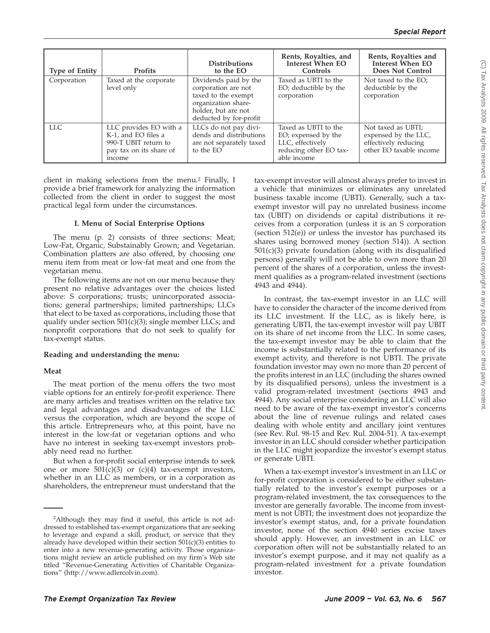| <b>Type of Entity</b> | <b>Profits</b>                                                                                            | <b>Distributions</b><br>to the EO                                                                                                           | Rents, Royalties, and<br>Interest When EO<br>Controls                                                    | Rents, Royalties and<br>Interest When EO<br><b>Does Not Control</b>                           |
|-----------------------|-----------------------------------------------------------------------------------------------------------|---------------------------------------------------------------------------------------------------------------------------------------------|----------------------------------------------------------------------------------------------------------|-----------------------------------------------------------------------------------------------|
| Corporation           | Taxed at the corporate<br>level only                                                                      | Dividends paid by the<br>corporation are not<br>taxed to the exempt<br>organization share-<br>holder, but are not<br>deducted by for-profit | Taxed as UBTI to the<br>EO; deductible by the<br>corporation                                             | Not taxed to the EO;<br>deductible by the<br>corporation                                      |
| LLC.                  | LLC provides EO with a<br>K-1, and EO files a<br>990-T UBIT return to<br>pay tax on its share of<br>mcome | LLCs do not pay divi-<br>dends and distributions<br>are not separately taxed<br>to the EO                                                   | Taxed as UBTI to the<br>EO; expensed by the<br>LLC, effectively<br>reducing other EO tax-<br>able income | Not taxed as UBTI;<br>expensed by the LLC,<br>effectively reducing<br>other EO taxable income |

client in making selections from the menu.2 Finally, I provide a brief framework for analyzing the information collected from the client in order to suggest the most practical legal form under the circumstances.

#### **I. Menu of Social Enterprise Options**

The menu (p. 2) consists of three sections: Meat; Low-Fat, Organic, Substainably Grown; and Vegetarian. Combination platters are also offered, by choosing one menu item from meat or low-fat meat and one from the vegetarian menu.

The following items are not on our menu because they present no relative advantages over the choices listed above: S corporations; trusts; unincorporated associations; general partnerships; limited partnerships; LLCs that elect to be taxed as corporations, including those that qualify under section  $501(c)(3)$ ; single member LLCs; and nonprofit corporations that do not seek to qualify for tax-exempt status.

#### **Reading and understanding the menu:**

#### **Meat**

The meat portion of the menu offers the two most viable options for an entirely for-profit experience. There are many articles and treatises written on the relative tax and legal advantages and disadvantages of the LLC versus the corporation, which are beyond the scope of this article. Entrepreneurs who, at this point, have no interest in the low-fat or vegetarian options and who have no interest in seeking tax-exempt investors probably need read no further.

But when a for-profit social enterprise intends to seek one or more  $501(c)(3)$  or  $(c)(4)$  tax-exempt investors, whether in an LLC as members, or in a corporation as shareholders, the entrepreneur must understand that the tax-exempt investor will almost always prefer to invest in a vehicle that minimizes or eliminates any unrelated business taxable income (UBTI). Generally, such a taxexempt investor will pay no unrelated business income tax (UBIT) on dividends or capital distributions it receives from a corporation (unless it is an S corporation (section 512(e)) or unless the investor has purchased its shares using borrowed money (section 514)). A section 501(c)(3) private foundation (along with its disqualified persons) generally will not be able to own more than 20 percent of the shares of a corporation, unless the investment qualifies as a program-related investment (sections 4943 and 4944).

In contrast, the tax-exempt investor in an LLC will have to consider the character of the income derived from its LLC investment. If the LLC, as is likely here, is generating UBTI, the tax-exempt investor will pay UBIT on its share of net income from the LLC. In some cases, the tax-exempt investor may be able to claim that the income is substantially related to the performance of its exempt activity, and therefore is not UBTI. The private foundation investor may own no more than 20 percent of the profits interest in an LLC (including the shares owned by its disqualified persons), unless the investment is a valid program-related investment (sections 4943 and 4944). Any social enterprise considering an LLC will also need to be aware of the tax-exempt investor's concerns about the line of revenue rulings and related cases dealing with whole entity and ancillary joint ventures (see Rev. Rul. 98-15 and Rev. Rul. 2004-51). A tax-exempt investor in an LLC should consider whether participation in the LLC might jeopardize the investor's exempt status or generate UBTI.

When a tax-exempt investor's investment in an LLC or for-profit corporation is considered to be either substantially related to the investor's exempt purposes or a program-related investment, the tax consequences to the investor are generally favorable. The income from investment is not UBTI; the investment does not jeopardize the investor's exempt status, and, for a private foundation investor, none of the section 4940 series excise taxes should apply. However, an investment in an LLC or corporation often will not be substantially related to an investor's exempt purpose, and it may not qualify as a program-related investment for a private foundation investor.

 $\widehat{\odot}$ 

<sup>&</sup>lt;sup>2</sup>Although they may find it useful, this article is not addressed to established tax-exempt organizations that are seeking to leverage and expand a skill, product, or service that they already have developed within their section  $501(c)(3)$  entities to enter into a new revenue-generating activity. Those organizations might review an article published on my firm's Web site titled ''Revenue-Generating Activities of Charitable Organizations'' (http://www.adlercolvin.com).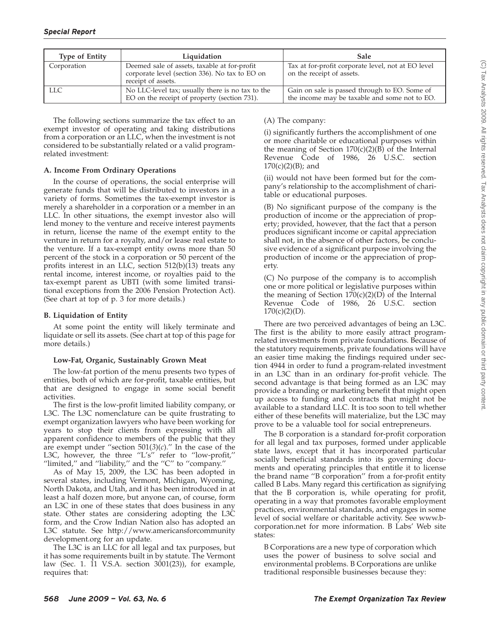| <b>Type of Entity</b> | Liquidation                                                                                                          | <b>Sale</b>                                                                                    |
|-----------------------|----------------------------------------------------------------------------------------------------------------------|------------------------------------------------------------------------------------------------|
| Corporation           | Deemed sale of assets, taxable at for-profit<br>corporate level (section 336). No tax to EO on<br>receipt of assets. | Tax at for-profit corporate level, not at EO level<br>on the receipt of assets.                |
| LLC                   | No LLC-level tax; usually there is no tax to the<br>EO on the receipt of property (section 731).                     | Gain on sale is passed through to EO. Some of<br>the income may be taxable and some not to EO. |

The following sections summarize the tax effect to an exempt investor of operating and taking distributions from a corporation or an LLC, when the investment is not considered to be substantially related or a valid programrelated investment:

#### **A. Income From Ordinary Operations**

In the course of operations, the social enterprise will generate funds that will be distributed to investors in a variety of forms. Sometimes the tax-exempt investor is merely a shareholder in a corporation or a member in an LLC. In other situations, the exempt investor also will lend money to the venture and receive interest payments in return, license the name of the exempt entity to the venture in return for a royalty, and/or lease real estate to the venture. If a tax-exempt entity owns more than 50 percent of the stock in a corporation or 50 percent of the profits interest in an LLC, section 512(b)(13) treats any rental income, interest income, or royalties paid to the tax-exempt parent as UBTI (with some limited transitional exceptions from the 2006 Pension Protection Act). (See chart at top of p. 3 for more details.)

#### **B. Liquidation of Entity**

At some point the entity will likely terminate and liquidate or sell its assets. (See chart at top of this page for more details.)

#### **Low-Fat, Organic, Sustainably Grown Meat**

The low-fat portion of the menu presents two types of entities, both of which are for-profit, taxable entities, but that are designed to engage in some social benefit activities.

The first is the low-profit limited liability company, or L3C. The L3C nomenclature can be quite frustrating to exempt organization lawyers who have been working for years to stop their clients from expressing with all apparent confidence to members of the public that they are exempt under ''section 501(*3*)(*c*).'' In the case of the L3C, however, the three "L's" refer to "low-profit," ''limited,'' and ''liability,'' and the ''C'' to ''company.''

As of May 15, 2009, the L3C has been adopted in several states, including Vermont, Michigan, Wyoming, North Dakota, and Utah, and it has been introduced in at least a half dozen more, but anyone can, of course, form an L3C in one of these states that does business in any state. Other states are considering adopting the L3C form, and the Crow Indian Nation also has adopted an L3C statute. See http://www.americansforcommunity development.org for an update.

The L3C is an LLC for all legal and tax purposes, but it has some requirements built in by statute. The Vermont law (Sec. 1. 11 V.S.A. section 3001(23)), for example, requires that:

#### (A) The company:

(i) significantly furthers the accomplishment of one or more charitable or educational purposes within the meaning of Section  $170(c)(2)(B)$  of the Internal Revenue Code of 1986, 26 U.S.C. section  $170(c)(2)(B)$ ; and

(ii) would not have been formed but for the company's relationship to the accomplishment of charitable or educational purposes.

(B) No significant purpose of the company is the production of income or the appreciation of property; provided, however, that the fact that a person produces significant income or capital appreciation shall not, in the absence of other factors, be conclusive evidence of a significant purpose involving the production of income or the appreciation of property.

(C) No purpose of the company is to accomplish one or more political or legislative purposes within the meaning of Section  $170(c)(2)(D)$  of the Internal Revenue Code of 1986, 26 U.S.C. section  $170(c)(2)(D)$ .

There are two perceived advantages of being an L3C. The first is the ability to more easily attract programrelated investments from private foundations. Because of the statutory requirements, private foundations will have an easier time making the findings required under section 4944 in order to fund a program-related investment in an L3C than in an ordinary for-profit vehicle. The second advantage is that being formed as an L3C may provide a branding or marketing benefit that might open up access to funding and contracts that might not be available to a standard LLC. It is too soon to tell whether either of these benefits will materialize, but the L3C may prove to be a valuable tool for social entrepreneurs.

The B corporation is a standard for-profit corporation for all legal and tax purposes, formed under applicable state laws, except that it has incorporated particular socially beneficial standards into its governing documents and operating principles that entitle it to license the brand name ''B corporation'' from a for-profit entity called B Labs. Many regard this certification as signifying that the B corporation is, while operating for profit, operating in a way that promotes favorable employment practices, environmental standards, and engages in some level of social welfare or charitable activity. See www.bcorporation.net for more information. B Labs' Web site states:

B Corporations are a new type of corporation which uses the power of business to solve social and environmental problems. B Corporations are unlike traditional responsible businesses because they: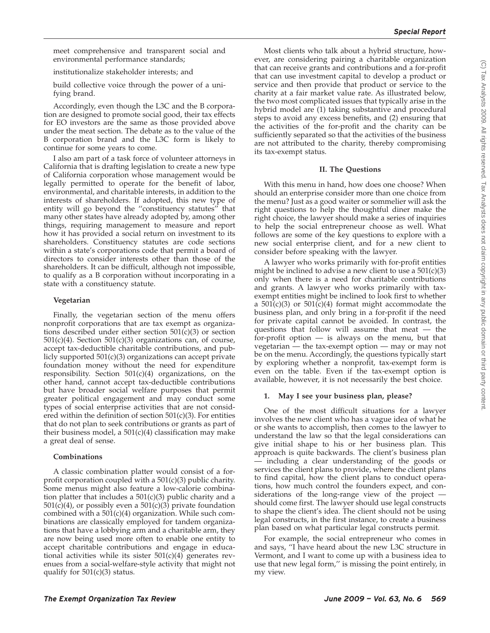meet comprehensive and transparent social and environmental performance standards;

institutionalize stakeholder interests; and

build collective voice through the power of a unifying brand.

Accordingly, even though the L3C and the B corporation are designed to promote social good, their tax effects for EO investors are the same as those provided above under the meat section. The debate as to the value of the B corporation brand and the L3C form is likely to continue for some years to come.

I also am part of a task force of volunteer attorneys in California that is drafting legislation to create a new type of California corporation whose management would be legally permitted to operate for the benefit of labor, environmental, and charitable interests, in addition to the interests of shareholders. If adopted, this new type of entity will go beyond the ''constituency statutes'' that many other states have already adopted by, among other things, requiring management to measure and report how it has provided a social return on investment to its shareholders. Constituency statutes are code sections within a state's corporations code that permit a board of directors to consider interests other than those of the shareholders. It can be difficult, although not impossible, to qualify as a B corporation without incorporating in a state with a constituency statute.

#### **Vegetarian**

Finally, the vegetarian section of the menu offers nonprofit corporations that are tax exempt as organizations described under either section  $501(c)(3)$  or section  $501(c)(4)$ . Section  $501(c)(3)$  organizations can, of course, accept tax-deductible charitable contributions, and publicly supported  $501(c)(3)$  organizations can accept private foundation money without the need for expenditure responsibility. Section 501(c)(4) organizations, on the other hand, cannot accept tax-deductible contributions but have broader social welfare purposes that permit greater political engagement and may conduct some types of social enterprise activities that are not considered within the definition of section 501(c)(3). For entities that do not plan to seek contributions or grants as part of their business model, a  $501(c)(4)$  classification may make a great deal of sense.

#### **Combinations**

A classic combination platter would consist of a forprofit corporation coupled with a 501(c)(3) public charity. Some menus might also feature a low-calorie combination platter that includes a 501(c)(3) public charity and a  $501(\overline{c})(4)$ , or possibly even a  $501(\overline{c})(3)$  private foundation combined with a 501(c)(4) organization. While such combinations are classically employed for tandem organizations that have a lobbying arm and a charitable arm, they are now being used more often to enable one entity to accept charitable contributions and engage in educational activities while its sister  $501(c)(4)$  generates revenues from a social-welfare-style activity that might not qualify for  $501(c)(3)$  status.

Most clients who talk about a hybrid structure, however, are considering pairing a charitable organization that can receive grants and contributions and a for-profit that can use investment capital to develop a product or service and then provide that product or service to the charity at a fair market value rate. As illustrated below, the two most complicated issues that typically arise in the hybrid model are (1) taking substantive and procedural steps to avoid any excess benefits, and (2) ensuring that the activities of the for-profit and the charity can be sufficiently separated so that the activities of the business are not attributed to the charity, thereby compromising its tax-exempt status.

#### **II. The Questions**

With this menu in hand, how does one choose? When should an enterprise consider more than one choice from the menu? Just as a good waiter or sommelier will ask the right questions to help the thoughtful diner make the right choice, the lawyer should make a series of inquiries to help the social entrepreneur choose as well. What follows are some of the key questions to explore with a new social enterprise client, and for a new client to consider before speaking with the lawyer.

A lawyer who works primarily with for-profit entities might be inclined to advise a new client to use a  $501(c)(3)$ only when there is a need for charitable contributions and grants. A lawyer who works primarily with taxexempt entities might be inclined to look first to whether a  $501(c)(3)$  or  $501(c)(4)$  format might accommodate the business plan, and only bring in a for-profit if the need for private capital cannot be avoided. In contrast, the questions that follow will assume that meat — the for-profit option — is always on the menu, but that vegetarian — the tax-exempt option — may or may not be on the menu. Accordingly, the questions typically start by exploring whether a nonprofit, tax-exempt form is even on the table. Even if the tax-exempt option is available, however, it is not necessarily the best choice.

#### **1. May I see your business plan, please?**

One of the most difficult situations for a lawyer involves the new client who has a vague idea of what he or she wants to accomplish, then comes to the lawyer to understand the law so that the legal considerations can give initial shape to his or her business plan. This approach is quite backwards. The client's business plan — including a clear understanding of the goods or services the client plans to provide, where the client plans to find capital, how the client plans to conduct operations, how much control the founders expect, and considerations of the long-range view of the project should come first. The lawyer should use legal constructs to shape the client's idea. The client should not be using legal constructs, in the first instance, to create a business plan based on what particular legal constructs permit.

For example, the social entrepreneur who comes in and says, ''I have heard about the new L3C structure in Vermont, and I want to come up with a business idea to use that new legal form,'' is missing the point entirely, in my view.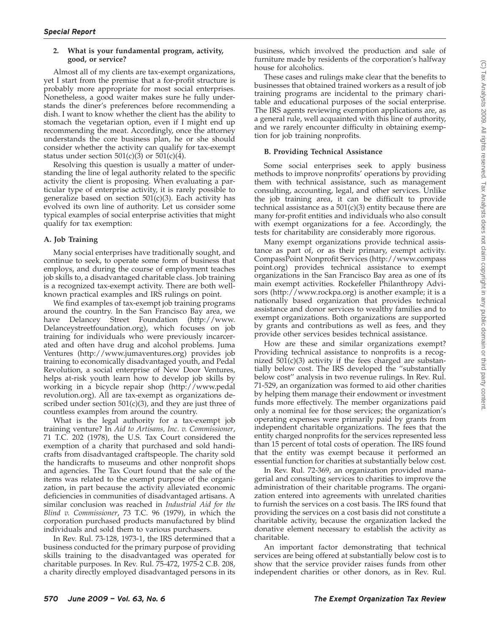#### **2. What is your fundamental program, activity, good, or service?**

Almost all of my clients are tax-exempt organizations, yet I start from the premise that a for-profit structure is probably more appropriate for most social enterprises. Nonetheless, a good waiter makes sure he fully understands the diner's preferences before recommending a dish. I want to know whether the client has the ability to stomach the vegetarian option, even if I might end up recommending the meat. Accordingly, once the attorney understands the core business plan, he or she should consider whether the activity can qualify for tax-exempt status under section  $501(c)(3)$  or  $501(c)(4)$ .

Resolving this question is usually a matter of understanding the line of legal authority related to the specific activity the client is proposing. When evaluating a particular type of enterprise activity, it is rarely possible to generalize based on section  $501(c)(3)$ . Each activity has evolved its own line of authority. Let us consider some typical examples of social enterprise activities that might qualify for tax exemption:

#### **A. Job Training**

Many social enterprises have traditionally sought, and continue to seek, to operate some form of business that employs, and during the course of employment teaches job skills to, a disadvantaged charitable class. Job training is a recognized tax-exempt activity. There are both wellknown practical examples and IRS rulings on point.

We find examples of tax-exempt job training programs around the country. In the San Francisco Bay area, we have Delancey Street Foundation (http://www. Delanceystreetfoundation.org), which focuses on job training for individuals who were previously incarcerated and often have drug and alcohol problems. Juma Ventures (http://www.jumaventures.org) provides job training to economically disadvantaged youth, and Pedal Revolution, a social enterprise of New Door Ventures, helps at-risk youth learn how to develop job skills by working in a bicycle repair shop (http://www.pedal revolution.org). All are tax-exempt as organizations described under section  $501(c)(3)$ , and they are just three of countless examples from around the country.

What is the legal authority for a tax-exempt job training venture? In *Aid to Artisans, Inc. v. Commissioner*, 71 T.C. 202 (1978), the U.S. Tax Court considered the exemption of a charity that purchased and sold handicrafts from disadvantaged craftspeople. The charity sold the handicrafts to museums and other nonprofit shops and agencies. The Tax Court found that the sale of the items was related to the exempt purpose of the organization, in part because the activity alleviated economic deficiencies in communities of disadvantaged artisans. A similar conclusion was reached in *Industrial Aid for the Blind v. Commissioner*, 73 T.C. 96 (1979), in which the corporation purchased products manufactured by blind individuals and sold them to various purchasers.

In Rev. Rul. 73-128, 1973-1, the IRS determined that a business conducted for the primary purpose of providing skills training to the disadvantaged was operated for charitable purposes. In Rev. Rul. 75-472, 1975-2 C.B. 208, a charity directly employed disadvantaged persons in its business, which involved the production and sale of furniture made by residents of the corporation's halfway house for alcoholics.

These cases and rulings make clear that the benefits to businesses that obtained trained workers as a result of job training programs are incidental to the primary charitable and educational purposes of the social enterprise. The IRS agents reviewing exemption applications are, as a general rule, well acquainted with this line of authority, and we rarely encounter difficulty in obtaining exemption for job training nonprofits.

#### **B. Providing Technical Assistance**

Some social enterprises seek to apply business methods to improve nonprofits' operations by providing them with technical assistance, such as management consulting, accounting, legal, and other services. Unlike the job training area, it can be difficult to provide technical assistance as a  $501(c)(3)$  entity because there are many for-profit entities and individuals who also consult with exempt organizations for a fee. Accordingly, the tests for charitability are considerably more rigorous.

Many exempt organizations provide technical assistance as part of, or as their primary, exempt activity. CompassPoint Nonprofit Services (http://www.compass point.org) provides technical assistance to exempt organizations in the San Francisco Bay area as one of its main exempt activities. Rockefeller Philanthropy Advisors (http://www.rockpa.org) is another example; it is a nationally based organization that provides technical assistance and donor services to wealthy families and to exempt organizations. Both organizations are supported by grants and contributions as well as fees, and they provide other services besides technical assistance.

How are these and similar organizations exempt? Providing technical assistance to nonprofits is a recognized  $501(c)(3)$  activity if the fees charged are substantially below cost. The IRS developed the ''substantially below cost'' analysis in two revenue rulings. In Rev. Rul. 71-529, an organization was formed to aid other charities by helping them manage their endowment or investment funds more effectively. The member organizations paid only a nominal fee for those services; the organization's operating expenses were primarily paid by grants from independent charitable organizations. The fees that the entity charged nonprofits for the services represented less than 15 percent of total costs of operation. The IRS found that the entity was exempt because it performed an essential function for charities at substantially below cost.

In Rev. Rul. 72-369, an organization provided managerial and consulting services to charities to improve the administration of their charitable programs. The organization entered into agreements with unrelated charities to furnish the services on a cost basis. The IRS found that providing the services on a cost basis did not constitute a charitable activity, because the organization lacked the donative element necessary to establish the activity as charitable.

An important factor demonstrating that technical services are being offered at substantially below cost is to show that the service provider raises funds from other independent charities or other donors, as in Rev. Rul.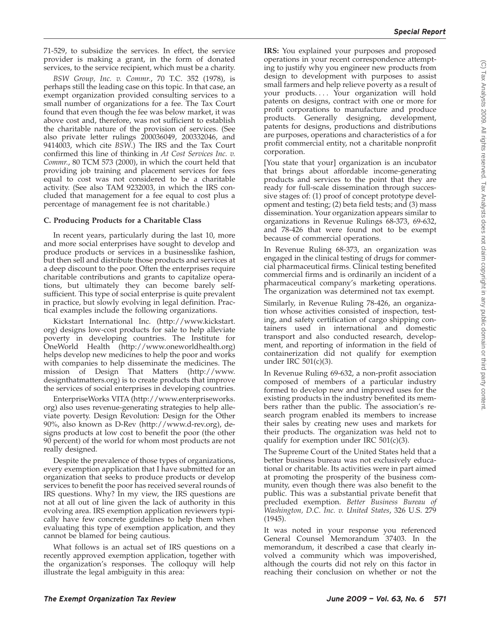71-529, to subsidize the services. In effect, the service provider is making a grant, in the form of donated services, to the service recipient, which must be a charity.

*BSW Group, Inc. v. Commr.*, 70 T.C. 352 (1978), is perhaps still the leading case on this topic. In that case, an exempt organization provided consulting services to a small number of organizations for a fee. The Tax Court found that even though the fee was below market, it was above cost and, therefore, was not sufficient to establish the charitable nature of the provision of services. (See also private letter rulings 200036049, 200332046, and 9414003, which cite *BSW*.) The IRS and the Tax Court confirmed this line of thinking in *At Cost Services Inc. v. Commr.*, 80 TCM 573 (2000), in which the court held that providing job training and placement services for fees equal to cost was not considered to be a charitable activity. (See also TAM 9232003, in which the IRS concluded that management for a fee equal to cost plus a percentage of management fee is not charitable.)

#### **C. Producing Products for a Charitable Class**

In recent years, particularly during the last 10, more and more social enterprises have sought to develop and produce products or services in a businesslike fashion, but then sell and distribute those products and services at a deep discount to the poor. Often the enterprises require charitable contributions and grants to capitalize operations, but ultimately they can become barely selfsufficient. This type of social enterprise is quite prevalent in practice, but slowly evolving in legal definition. Practical examples include the following organizations.

Kickstart International Inc. (http://www.kickstart. org) designs low-cost products for sale to help alleviate poverty in developing countries. The Institute for OneWorld Health (http://www.oneworldhealth.org) helps develop new medicines to help the poor and works with companies to help disseminate the medicines. The mission of Design That Matters (http://www. designthatmatters.org) is to create products that improve the services of social enterprises in developing countries.

EnterpriseWorks VITA (http://www.enterpriseworks. org) also uses revenue-generating strategies to help alleviate poverty. Design Revolution: Design for the Other 90%, also known as D-Rev (http://www.d-rev.org), designs products at low cost to benefit the poor (the other 90 percent) of the world for whom most products are not really designed.

Despite the prevalence of those types of organizations, every exemption application that I have submitted for an organization that seeks to produce products or develop services to benefit the poor has received several rounds of IRS questions. Why? In my view, the IRS questions are not at all out of line given the lack of authority in this evolving area. IRS exemption application reviewers typically have few concrete guidelines to help them when evaluating this type of exemption application, and they cannot be blamed for being cautious.

What follows is an actual set of IRS questions on a recently approved exemption application, together with the organization's responses. The colloquy will help illustrate the legal ambiguity in this area:

**IRS:** You explained your purposes and proposed operations in your recent correspondence attempting to justify why you engineer new products from design to development with purposes to assist small farmers and help relieve poverty as a result of your products.... Your organization will hold patents on designs, contract with one or more for profit corporations to manufacture and produce products. Generally designing, development, patents for designs, productions and distributions are purposes, operations and characteristics of a for profit commercial entity, not a charitable nonprofit corporation.

[You state that your] organization is an incubator that brings about affordable income-generating products and services to the point that they are ready for full-scale dissemination through successive stages of: (1) proof of concept prototype development and testing; (2) beta field tests; and (3) mass dissemination. Your organization appears similar to organizations in Revenue Rulings 68-373, 69-632, and 78-426 that were found not to be exempt because of commercial operations.

In Revenue Ruling 68-373, an organization was engaged in the clinical testing of drugs for commercial pharmaceutical firms. Clinical testing benefited commercial firms and is ordinarily an incident of a pharmaceutical company's marketing operations. The organization was determined not tax exempt.

Similarly, in Revenue Ruling 78-426, an organization whose activities consisted of inspection, testing, and safety certification of cargo shipping containers used in international and domestic transport and also conducted research, development, and reporting of information in the field of containerization did not qualify for exemption under IRC 501(c)(3).

In Revenue Ruling 69-632, a non-profit association composed of members of a particular industry formed to develop new and improved uses for the existing products in the industry benefited its members rather than the public. The association's research program enabled its members to increase their sales by creating new uses and markets for their products. The organization was held not to qualify for exemption under IRC  $501(c)(3)$ .

The Supreme Court of the United States held that a better business bureau was not exclusively educational or charitable. Its activities were in part aimed at promoting the prosperity of the business community, even though there was also benefit to the public. This was a substantial private benefit that precluded exemption. *Better Business Bureau of Washington, D.C. Inc. v. United States*, 326 U.S. 279 (1945).

It was noted in your response you referenced General Counsel Memorandum 37403. In the memorandum, it described a case that clearly involved a community which was impoverished, although the courts did not rely on this factor in reaching their conclusion on whether or not the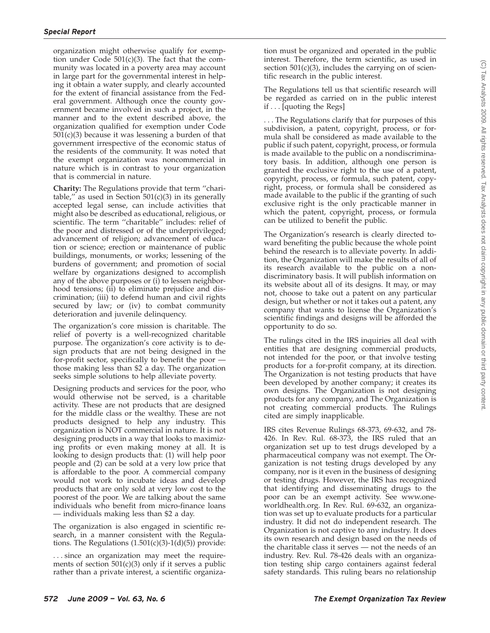organization might otherwise qualify for exemption under Code 501(c)(3). The fact that the community was located in a poverty area may account in large part for the governmental interest in helping it obtain a water supply, and clearly accounted for the extent of financial assistance from the Federal government. Although once the county government became involved in such a project, in the manner and to the extent described above, the organization qualified for exemption under Code  $501(c)(3)$  because it was lessening a burden of that government irrespective of the economic status of the residents of the community. It was noted that the exempt organization was noncommercial in nature which is in contrast to your organization that is commercial in nature.

**Charity:** The Regulations provide that term ''charitable," as used in Section  $501(c)(3)$  in its generally accepted legal sense, can include activities that might also be described as educational, religious, or scientific. The term ''charitable'' includes: relief of the poor and distressed or of the underprivileged; advancement of religion; advancement of education or science; erection or maintenance of public buildings, monuments, or works; lessening of the burdens of government; and promotion of social welfare by organizations designed to accomplish any of the above purposes or (i) to lessen neighborhood tensions; (ii) to eliminate prejudice and discrimination; (iii) to defend human and civil rights secured by law; or (iv) to combat community deterioration and juvenile delinquency.

The organization's core mission is charitable. The relief of poverty is a well-recognized charitable purpose. The organization's core activity is to design products that are not being designed in the for-profit sector, specifically to benefit the poor those making less than \$2 a day. The organization seeks simple solutions to help alleviate poverty.

Designing products and services for the poor, who would otherwise not be served, is a charitable activity. These are not products that are designed for the middle class or the wealthy. These are not products designed to help any industry. This organization is NOT commercial in nature. It is not designing products in a way that looks to maximizing profits or even making money at all. It is looking to design products that: (1) will help poor people and (2) can be sold at a very low price that is affordable to the poor. A commercial company would not work to incubate ideas and develop products that are only sold at very low cost to the poorest of the poor. We are talking about the same individuals who benefit from micro-finance loans — individuals making less than \$2 a day.

The organization is also engaged in scientific research, in a manner consistent with the Regulations. The Regulations  $(1.501(c)(3)-1(d)(5))$  provide:

. . . since an organization may meet the requirements of section  $501(c)(3)$  only if it serves a public rather than a private interest, a scientific organiza-

tion must be organized and operated in the public interest. Therefore, the term scientific, as used in section  $501(c)(3)$ , includes the carrying on of scientific research in the public interest.

The Regulations tell us that scientific research will be regarded as carried on in the public interest if . . . [quoting the Regs]

. . . The Regulations clarify that for purposes of this subdivision, a patent, copyright, process, or formula shall be considered as made available to the public if such patent, copyright, process, or formula is made available to the public on a nondiscriminatory basis. In addition, although one person is granted the exclusive right to the use of a patent, copyright, process, or formula, such patent, copyright, process, or formula shall be considered as made available to the public if the granting of such exclusive right is the only practicable manner in which the patent, copyright, process, or formula can be utilized to benefit the public.

The Organization's research is clearly directed toward benefiting the public because the whole point behind the research is to alleviate poverty. In addition, the Organization will make the results of all of its research available to the public on a nondiscriminatory basis. It will publish information on its website about all of its designs. It may, or may not, choose to take out a patent on any particular design, but whether or not it takes out a patent, any company that wants to license the Organization's scientific findings and designs will be afforded the opportunity to do so.

The rulings cited in the IRS inquiries all deal with entities that are designing commercial products, not intended for the poor, or that involve testing products for a for-profit company, at its direction. The Organization is not testing products that have been developed by another company; it creates its own designs. The Organization is not designing products for any company, and The Organization is not creating commercial products. The Rulings cited are simply inapplicable.

IRS cites Revenue Rulings 68-373, 69-632, and 78- 426. In Rev. Rul. 68-373, the IRS ruled that an organization set up to test drugs developed by a pharmaceutical company was not exempt. The Organization is not testing drugs developed by any company, nor is it even in the business of designing or testing drugs. However, the IRS has recognized that identifying and disseminating drugs to the poor can be an exempt activity. See www.oneworldhealth.org. In Rev. Rul. 69-632, an organization was set up to evaluate products for a particular industry. It did not do independent research. The Organization is not captive to any industry. It does its own research and design based on the needs of the charitable class it serves — not the needs of an industry. Rev. Rul. 78-426 deals with an organization testing ship cargo containers against federal safety standards. This ruling bears no relationship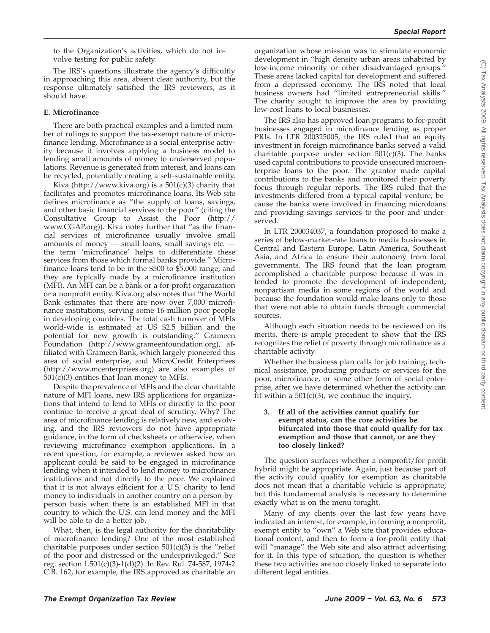to the Organization's activities, which do not involve testing for public safety.

The IRS's questions illustrate the agency's difficultly in approaching this area, absent clear authority, but the response ultimately satisfied the IRS reviewers, as it should have.

#### **E. Microfinance**

There are both practical examples and a limited number of rulings to support the tax-exempt nature of microfinance lending. Microfinance is a social enterprise activity because it involves applying a business model to lending small amounts of money to underserved populations. Revenue is generated from interest, and loans can be recycled, potentially creating a self-sustainable entity.

Kiva (http://www.kiva.org) is a  $501(c)(3)$  charity that facilitates and promotes microfinance loans. Its Web site defines microfinance as ''the supply of loans, savings, and other basic financial services to the poor'' (citing the Consultative Group to Assist the Poor (http:// www.CGAP.org)). Kiva notes further that ''as the financial services of microfinance usually involve small amounts of money — small loans, small savings etc. the term 'microfinance' helps to differentiate these services from those which formal banks provide.'' Microfinance loans tend to be in the \$500 to \$5,000 range, and they are typically made by a microfinance institution (MFI). An MFI can be a bank or a for-profit organization or a nonprofit entity. Kiva.org also notes that ''the World Bank estimates that there are now over 7,000 microfinance institutions, serving some 16 million poor people in developing countries. The total cash turnover of MFIs world-wide is estimated at US \$2.5 billion and the potential for new growth is outstanding.'' Grameen Foundation (http://www.grameenfoundation.org), affiliated with Grameen Bank, which largely pioneered this area of social enterprise, and MicroCredit Enterprises (http://www.mcenterprises.org) are also examples of  $501(c)(3)$  entities that loan money to MFIs.

Despite the prevalence of MFIs and the clear charitable nature of MFI loans, new IRS applications for organizations that intend to lend to MFIs or directly to the poor continue to receive a great deal of scrutiny. Why? The area of microfinance lending is relatively new, and evolving, and the IRS reviewers do not have appropriate guidance, in the form of checksheets or otherwise, when reviewing microfinance exemption applications. In a recent question, for example, a reviewer asked how an applicant could be said to be engaged in microfinance lending when it intended to lend money to microfinance institutions and not directly to the poor. We explained that it is not always efficient for a  $\overline{U}.S$ . charity to lend money to individuals in another country on a person-byperson basis when there is an established MFI in that country to which the U.S. can lend money and the MFI will be able to do a better job.

What, then, is the legal authority for the charitability of microfinance lending? One of the most established charitable purposes under section  $501(c)(3)$  is the "relief" of the poor and distressed or the underprivileged.'' See reg. section 1.501(c)(3)-1(d)(2). In Rev. Rul. 74-587, 1974-2 C.B. 162, for example, the IRS approved as charitable an

organization whose mission was to stimulate economic development in ''high density urban areas inhabited by low-income minority or other disadvantaged groups.'' These areas lacked capital for development and suffered from a depressed economy. The IRS noted that local business owners had ''limited entrepreneurial skills.'' The charity sought to improve the area by providing low-cost loans to local businesses.

The IRS also has approved loan programs to for-profit businesses engaged in microfinance lending as proper PRIs. In LTR 200325005, the IRS ruled that an equity investment in foreign microfinance banks served a valid charitable purpose under section  $501(c)(3)$ . The banks used capital contributions to provide unsecured microenterprise loans to the poor. The grantor made capital contributions to the banks and monitored their poverty focus through regular reports. The IRS ruled that the investments differed from a typical capital venture, because the banks were involved in financing microloans and providing savings services to the poor and underserved.

In LTR 200034037, a foundation proposed to make a series of below-market-rate loans to media businesses in Central and Eastern Europe, Latin America, Southeast Asia, and Africa to ensure their autonomy from local governments. The IRS found that the loan program accomplished a charitable purpose because it was intended to promote the development of independent, nonpartisan media in some regions of the world and because the foundation would make loans only to those that were not able to obtain funds through commercial sources.

Although each situation needs to be reviewed on its merits, there is ample precedent to show that the IRS recognizes the relief of poverty through microfinance as a charitable activity.

Whether the business plan calls for job training, technical assistance, producing products or services for the poor, microfinance, or some other form of social enterprise, after we have determined whether the activity can fit within a  $501(c)(3)$ , we continue the inquiry.

#### **3. If all of the activities cannot qualify for exempt status, can the core activities be bifurcated into those that could qualify for tax exemption and those that cannot, or are they too closely linked?**

The question surfaces whether a nonprofit/for-profit hybrid might be appropriate. Again, just because part of the activity could qualify for exemption as charitable does not mean that a charitable vehicle is appropriate, but this fundamental analysis is necessary to determine exactly what is on the menu tonight.

Many of my clients over the last few years have indicated an interest, for example, in forming a nonprofit, exempt entity to ''own'' a Web site that provides educational content, and then to form a for-profit entity that will ''manage'' the Web site and also attract advertising for it. In this type of situation, the question is whether these two activities are too closely linked to separate into different legal entities.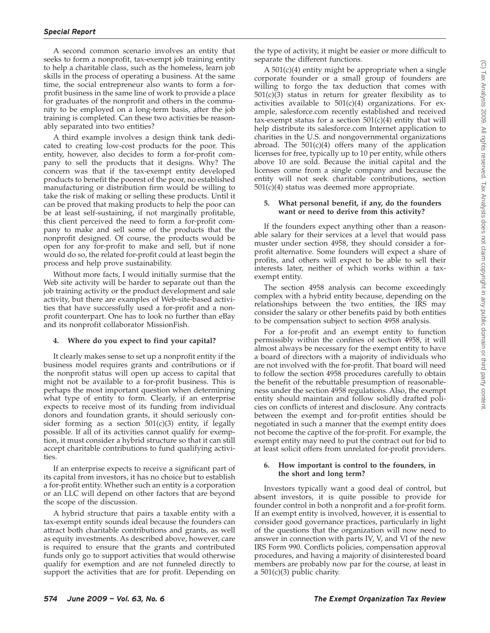A second common scenario involves an entity that seeks to form a nonprofit, tax-exempt job training entity to help a charitable class, such as the homeless, learn job skills in the process of operating a business. At the same time, the social entrepreneur also wants to form a forprofit business in the same line of work to provide a place for graduates of the nonprofit and others in the community to be employed on a long-term basis, after the job training is completed. Can these two activities be reasonably separated into two entities?

A third example involves a design think tank dedicated to creating low-cost products for the poor. This entity, however, also decides to form a for-profit company to sell the products that it designs. Why? The concern was that if the tax-exempt entity developed products to benefit the poorest of the poor, no established manufacturing or distribution firm would be willing to take the risk of making or selling these products. Until it can be proved that making products to help the poor can be at least self-sustaining, if not marginally profitable, this client perceived the need to form a for-profit company to make and sell some of the products that the nonprofit designed. Of course, the products would be open for any for-profit to make and sell, but if none would do so, the related for-profit could at least begin the process and help prove sustainability.

Without more facts, I would initially surmise that the Web site activity will be harder to separate out than the job training activity or the product development and sale activity, but there are examples of Web-site-based activities that have successfully used a for-profit and a nonprofit counterpart. One has to look no further than eBay and its nonprofit collaborator MissionFish.

#### **4. Where do you expect to find your capital?**

It clearly makes sense to set up a nonprofit entity if the business model requires grants and contributions or if the nonprofit status will open up access to capital that might not be available to a for-profit business. This is perhaps the most important question when determining what type of entity to form. Clearly, if an enterprise expects to receive most of its funding from individual donors and foundation grants, it should seriously consider forming as a section  $501(c)(3)$  entity, if legally possible. If all of its activities cannot qualify for exemption, it must consider a hybrid structure so that it can still accept charitable contributions to fund qualifying activities.

If an enterprise expects to receive a significant part of its capital from investors, it has no choice but to establish a for-profit entity. Whether such an entity is a corporation or an LLC will depend on other factors that are beyond the scope of the discussion.

A hybrid structure that pairs a taxable entity with a tax-exempt entity sounds ideal because the founders can attract both charitable contributions and grants, as well as equity investments. As described above, however, care is required to ensure that the grants and contributed funds only go to support activities that would otherwise qualify for exemption and are not funneled directly to support the activities that are for profit. Depending on

the type of activity, it might be easier or more difficult to separate the different functions.

A 501(c)(4) entity might be appropriate when a single corporate founder or a small group of founders are willing to forgo the tax deduction that comes with  $501(c)(3)$  status in return for greater flexibility as to activities available to  $501(c)(4)$  organizations. For example, salesforce.com recently established and received tax-exempt status for a section  $501(c)(4)$  entity that will help distribute its salesforce.com Internet application to charities in the U.S. and nongovernmental organizations abroad. The  $501(c)(4)$  offers many of the application licenses for free, typically up to 10 per entity, while others above 10 are sold. Because the initial capital and the licenses come from a single company and because the entity will not seek charitable contributions, section 501(c)(4) status was deemed more appropriate.

#### **5. What personal benefit, if any, do the founders want or need to derive from this activity?**

If the founders expect anything other than a reasonable salary for their services at a level that would pass muster under section 4958, they should consider a forprofit alternative. Some founders will expect a share of profits, and others will expect to be able to sell their interests later, neither of which works within a taxexempt entity.

The section 4958 analysis can become exceedingly complex with a hybrid entity because, depending on the relationships between the two entities, the IRS may consider the salary or other benefits paid by both entities to be compensation subject to section 4958 analysis.

For a for-profit and an exempt entity to function permissibly within the confines of section 4958, it will almost always be necessary for the exempt entity to have a board of directors with a majority of individuals who are not involved with the for-profit. That board will need to follow the section 4958 procedures carefully to obtain the benefit of the rebuttable presumption of reasonableness under the section 4958 regulations. Also, the exempt entity should maintain and follow solidly drafted policies on conflicts of interest and disclosure. Any contracts between the exempt and for-profit entities should be negotiated in such a manner that the exempt entity does not become the captive of the for-profit. For example, the exempt entity may need to put the contract out for bid to at least solicit offers from unrelated for-profit providers.

#### **6. How important is control to the founders, in the short and long term?**

Investors typically want a good deal of control, but absent investors, it is quite possible to provide for founder control in both a nonprofit and a for-profit form. If an exempt entity is involved, however, it is essential to consider good governance practices, particularly in light of the questions that the organization will now need to answer in connection with parts IV, V, and VI of the new IRS Form 990. Conflicts policies, compensation approval procedures, and having a majority of disinterested board members are probably now par for the course, at least in a  $501(c)(3)$  public charity.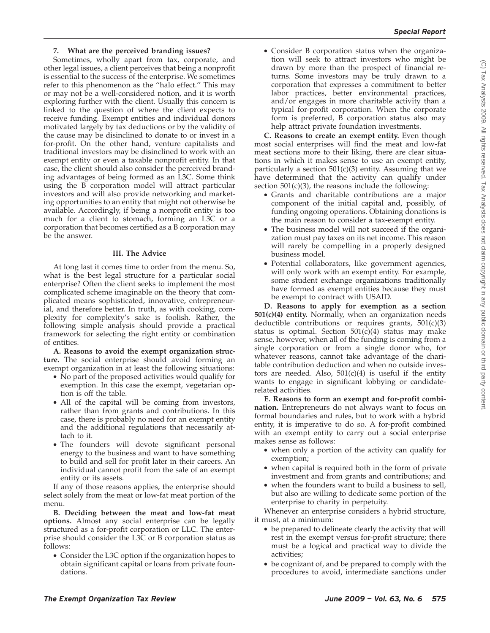#### **7. What are the perceived branding issues?**

Sometimes, wholly apart from tax, corporate, and other legal issues, a client perceives that being a nonprofit is essential to the success of the enterprise. We sometimes refer to this phenomenon as the ''halo effect.'' This may or may not be a well-considered notion, and it is worth exploring further with the client. Usually this concern is linked to the question of where the client expects to receive funding. Exempt entities and individual donors motivated largely by tax deductions or by the validity of the cause may be disinclined to donate to or invest in a for-profit. On the other hand, venture capitalists and traditional investors may be disinclined to work with an exempt entity or even a taxable nonprofit entity. In that case, the client should also consider the perceived branding advantages of being formed as an L3C. Some think using the B corporation model will attract particular investors and will also provide networking and marketing opportunities to an entity that might not otherwise be available. Accordingly, if being a nonprofit entity is too much for a client to stomach, forming an L3C or a corporation that becomes certified as a B corporation may be the answer.

#### **III. The Advice**

At long last it comes time to order from the menu. So, what is the best legal structure for a particular social enterprise? Often the client seeks to implement the most complicated scheme imaginable on the theory that complicated means sophisticated, innovative, entrepreneurial, and therefore better. In truth, as with cooking, complexity for complexity's sake is foolish. Rather, the following simple analysis should provide a practical framework for selecting the right entity or combination of entities.

**A. Reasons to avoid the exempt organization structure.** The social enterprise should avoid forming an exempt organization in at least the following situations:

- No part of the proposed activities would qualify for exemption. In this case the exempt, vegetarian option is off the table.
- All of the capital will be coming from investors, rather than from grants and contributions. In this case, there is probably no need for an exempt entity and the additional regulations that necessarily attach to it.
- The founders will devote significant personal energy to the business and want to have something to build and sell for profit later in their careers. An individual cannot profit from the sale of an exempt entity or its assets.

If any of those reasons applies, the enterprise should select solely from the meat or low-fat meat portion of the menu.

**B. Deciding between the meat and low-fat meat options.** Almost any social enterprise can be legally structured as a for-profit corporation or LLC. The enterprise should consider the L3C or B corporation status as follows:

• Consider the L3C option if the organization hopes to obtain significant capital or loans from private foundations.

• Consider B corporation status when the organization will seek to attract investors who might be drawn by more than the prospect of financial returns. Some investors may be truly drawn to a corporation that expresses a commitment to better labor practices, better environmental practices, and/or engages in more charitable activity than a typical for-profit corporation. When the corporate form is preferred, B corporation status also may help attract private foundation investments.

**C. Reasons to create an exempt entity.** Even though most social enterprises will find the meat and low-fat meat sections more to their liking, there are clear situations in which it makes sense to use an exempt entity, particularly a section 501(c)(3) entity. Assuming that we have determined that the activity can qualify under section  $501(c)(3)$ , the reasons include the following:

- Grants and charitable contributions are a major component of the initial capital and, possibly, of funding ongoing operations. Obtaining donations is the main reason to consider a tax-exempt entity.
- The business model will not succeed if the organization must pay taxes on its net income. This reason will rarely be compelling in a properly designed business model.
- Potential collaborators, like government agencies, will only work with an exempt entity. For example, some student exchange organizations traditionally have formed as exempt entities because they must be exempt to contract with USAID.

**D. Reasons to apply for exemption as a section 501(c)(4) entity.** Normally, when an organization needs deductible contributions or requires grants,  $501(c)(3)$ status is optimal. Section  $501(c)(4)$  status may make sense, however, when all of the funding is coming from a single corporation or from a single donor who, for whatever reasons, cannot take advantage of the charitable contribution deduction and when no outside investors are needed. Also,  $501(c)(4)$  is useful if the entity wants to engage in significant lobbying or candidaterelated activities.

**E. Reasons to form an exempt and for-profit combination.** Entrepreneurs do not always want to focus on formal boundaries and rules, but to work with a hybrid entity, it is imperative to do so. A for-profit combined with an exempt entity to carry out a social enterprise makes sense as follows:

- when only a portion of the activity can qualify for exemption;
- when capital is required both in the form of private investment and from grants and contributions; and
- when the founders want to build a business to sell, but also are willing to dedicate some portion of the enterprise to charity in perpetuity.

Whenever an enterprise considers a hybrid structure, it must, at a minimum:

- be prepared to delineate clearly the activity that will rest in the exempt versus for-profit structure; there must be a logical and practical way to divide the activities;
- be cognizant of, and be prepared to comply with the procedures to avoid, intermediate sanctions under